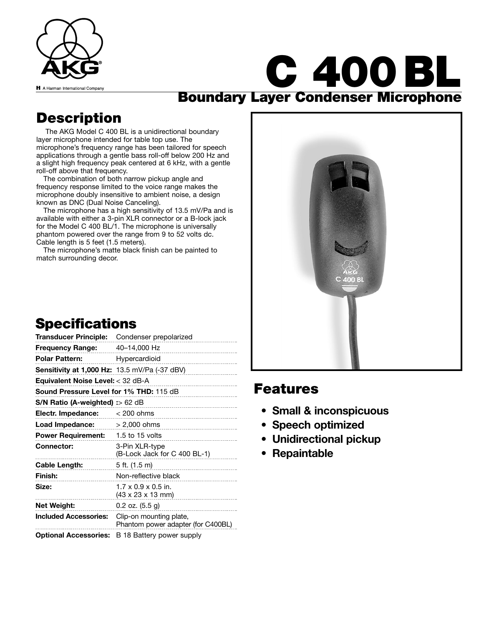

# **C 400 BL Boundary Layer Condenser Microphone**

### **Description**

The AKG Model C 400 BL is a unidirectional boundary layer microphone intended for table top use. The microphone's frequency range has been tailored for speech applications through a gentle bass roll-off below 200 Hz and a slight high frequency peak centered at 6 kHz, with a gentle roll-off above that frequency.

The combination of both narrow pickup angle and frequency response limited to the voice range makes the microphone doubly insensitive to ambient noise, a design known as DNC (Dual Noise Canceling).

The microphone has a high sensitivity of 13.5 mV/Pa and is available with either a 3-pin XLR connector or a B-lock jack for the Model C 400 BL/1. The microphone is universally phantom powered over the range from 9 to 52 volts dc. Cable length is 5 feet (1.5 meters).

The microphone's matte black finish can be painted to match surrounding decor.

## **Specifications**

| Transducer Principle:                                | Condenser prepolarized                                                   |
|------------------------------------------------------|--------------------------------------------------------------------------|
| Frequency Range:                                     | 40-14,000 Hz                                                             |
| <b>Polar Pattern:</b>                                | Hypercardioid<br>___________________________                             |
| <b>Sensitivity at 1,000 Hz:</b> 13.5 mV/Pa (-37 dBV) |                                                                          |
| Equivalent Noise Level: $<$ 32 dB-A                  |                                                                          |
| <b>Sound Pressure Level for 1% THD: 115 dB</b>       |                                                                          |
| $S/N$ Ratio (A-weighted) :> 62 dB                    |                                                                          |
| Electr. Impedance:                                   | $< 200$ ohms                                                             |
| Load Impedance:                                      | $> 2,000$ ohms                                                           |
| <b>Power Requirement:</b>                            | 1.5 to 15 volts                                                          |
| <b>Connector:</b>                                    | 3-Pin XLR-type<br>(B-Lock Jack for C 400 BL-1)                           |
| Cable Length:                                        | 5 ft. (1.5 m)                                                            |
| Finish:                                              | Non-reflective black                                                     |
| Size:                                                | $1.7 \times 0.9 \times 0.5$ in.<br>$(43 \times 23 \times 13 \text{ mm})$ |
| Net Weight:                                          | $0.2$ oz. $(5.5 g)$                                                      |
| <b>Included Accessories:</b>                         | Clip-on mounting plate,<br>Phantom power adapter (for C400BL)            |
| <b>Optional Accessories:</b>                         | B 18 Battery power supply                                                |



### **Features**

- **Small & inconspicuous**
- **Speech optimized**
- **Unidirectional pickup**
- **Repaintable**